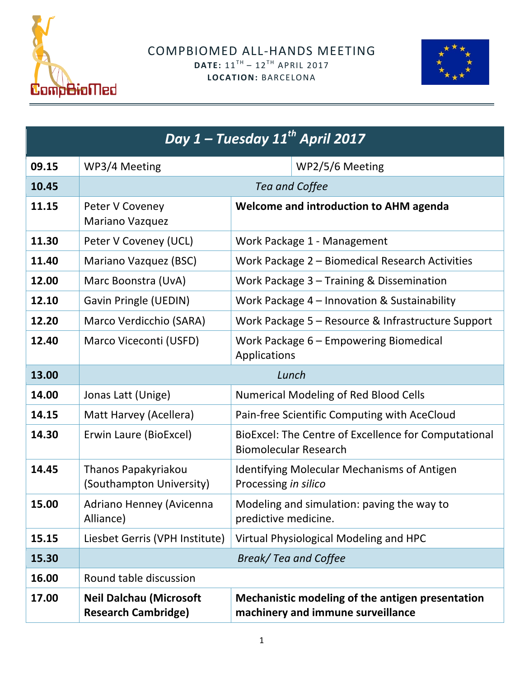



| Day 1 - Tuesday 11 <sup>th</sup> April 2017 |                                                              |                                                                                       |  |
|---------------------------------------------|--------------------------------------------------------------|---------------------------------------------------------------------------------------|--|
| 09.15                                       | WP3/4 Meeting                                                | WP2/5/6 Meeting                                                                       |  |
| 10.45                                       | Tea and Coffee                                               |                                                                                       |  |
| 11.15                                       | Peter V Coveney<br>Mariano Vazquez                           | Welcome and introduction to AHM agenda                                                |  |
| 11.30                                       | Peter V Coveney (UCL)                                        | Work Package 1 - Management                                                           |  |
| 11.40                                       | Mariano Vazquez (BSC)                                        | Work Package 2 - Biomedical Research Activities                                       |  |
| 12.00                                       | Marc Boonstra (UvA)                                          | Work Package 3 - Training & Dissemination                                             |  |
| 12.10                                       | Gavin Pringle (UEDIN)                                        | Work Package 4 - Innovation & Sustainability                                          |  |
| 12.20                                       | Marco Verdicchio (SARA)                                      | Work Package 5 - Resource & Infrastructure Support                                    |  |
| 12.40                                       | Marco Viceconti (USFD)                                       | Work Package 6 - Empowering Biomedical<br>Applications                                |  |
| 13.00                                       | Lunch                                                        |                                                                                       |  |
| 14.00                                       | Jonas Latt (Unige)                                           | <b>Numerical Modeling of Red Blood Cells</b>                                          |  |
| 14.15                                       | Matt Harvey (Acellera)                                       | Pain-free Scientific Computing with AceCloud                                          |  |
| 14.30                                       | Erwin Laure (BioExcel)                                       | BioExcel: The Centre of Excellence for Computational<br><b>Biomolecular Research</b>  |  |
| 14.45                                       | Thanos Papakyriakou<br>(Southampton University)              | <b>Identifying Molecular Mechanisms of Antigen</b><br>Processing in silico            |  |
| 15.00                                       | Adriano Henney (Avicenna<br>Alliance)                        | Modeling and simulation: paving the way to<br>predictive medicine.                    |  |
| 15.15                                       | Liesbet Gerris (VPH Institute)                               | Virtual Physiological Modeling and HPC                                                |  |
| 15.30                                       |                                                              | Break/ Tea and Coffee                                                                 |  |
| 16.00                                       | Round table discussion                                       |                                                                                       |  |
| 17.00                                       | <b>Neil Dalchau (Microsoft</b><br><b>Research Cambridge)</b> | Mechanistic modeling of the antigen presentation<br>machinery and immune surveillance |  |